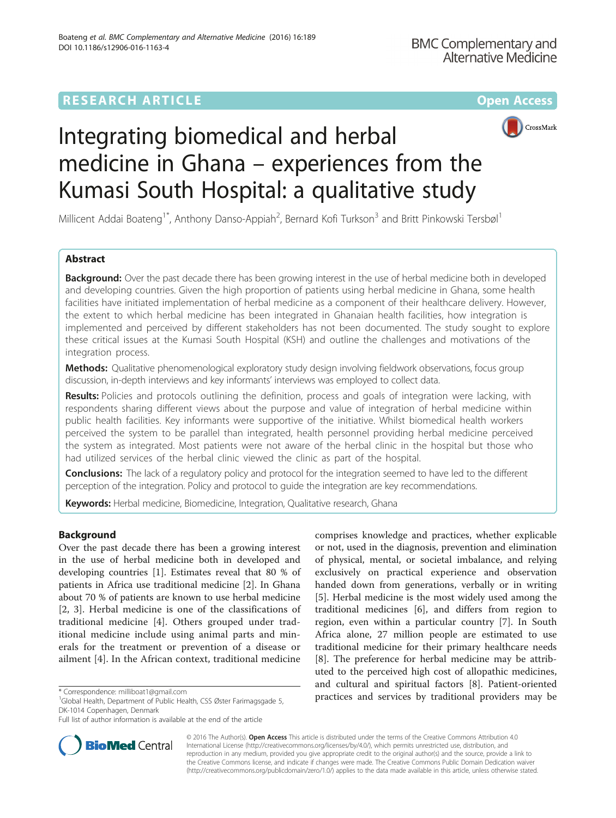# **RESEARCH ARTICLE External Structure Community Community Community Community Community Community Community Community**





# Integrating biomedical and herbal medicine in Ghana – experiences from the Kumasi South Hospital: a qualitative study

Millicent Addai Boateng<sup>1\*</sup>, Anthony Danso-Appiah<sup>2</sup>, Bernard Kofi Turkson<sup>3</sup> and Britt Pinkowski Tersbøl<sup>1</sup>

# Abstract

**Background:** Over the past decade there has been growing interest in the use of herbal medicine both in developed and developing countries. Given the high proportion of patients using herbal medicine in Ghana, some health facilities have initiated implementation of herbal medicine as a component of their healthcare delivery. However, the extent to which herbal medicine has been integrated in Ghanaian health facilities, how integration is implemented and perceived by different stakeholders has not been documented. The study sought to explore these critical issues at the Kumasi South Hospital (KSH) and outline the challenges and motivations of the integration process.

Methods: Qualitative phenomenological exploratory study design involving fieldwork observations, focus group discussion, in-depth interviews and key informants' interviews was employed to collect data.

Results: Policies and protocols outlining the definition, process and goals of integration were lacking, with respondents sharing different views about the purpose and value of integration of herbal medicine within public health facilities. Key informants were supportive of the initiative. Whilst biomedical health workers perceived the system to be parallel than integrated, health personnel providing herbal medicine perceived the system as integrated. Most patients were not aware of the herbal clinic in the hospital but those who had utilized services of the herbal clinic viewed the clinic as part of the hospital.

Conclusions: The lack of a regulatory policy and protocol for the integration seemed to have led to the different perception of the integration. Policy and protocol to guide the integration are key recommendations.

Keywords: Herbal medicine, Biomedicine, Integration, Qualitative research, Ghana

## Background

Over the past decade there has been a growing interest in the use of herbal medicine both in developed and developing countries [[1](#page-7-0)]. Estimates reveal that 80 % of patients in Africa use traditional medicine [\[2\]](#page-7-0). In Ghana about 70 % of patients are known to use herbal medicine [[2, 3](#page-7-0)]. Herbal medicine is one of the classifications of traditional medicine [\[4\]](#page-7-0). Others grouped under traditional medicine include using animal parts and minerals for the treatment or prevention of a disease or ailment [\[4](#page-7-0)]. In the African context, traditional medicine

<sup>1</sup>Global Health, Department of Public Health, CSS Øster Farimagsgade 5, DK-1014 Copenhagen, Denmark

comprises knowledge and practices, whether explicable or not, used in the diagnosis, prevention and elimination of physical, mental, or societal imbalance, and relying exclusively on practical experience and observation handed down from generations, verbally or in writing [[5\]](#page-7-0). Herbal medicine is the most widely used among the traditional medicines [[6](#page-7-0)], and differs from region to region, even within a particular country [[7\]](#page-7-0). In South Africa alone, 27 million people are estimated to use traditional medicine for their primary healthcare needs [[8\]](#page-7-0). The preference for herbal medicine may be attributed to the perceived high cost of allopathic medicines, and cultural and spiritual factors [[8\]](#page-7-0). Patient-oriented \* Correspondence: [milliboat1@gmail.com](mailto:milliboat1@gmail.com) **by the correspondence: milliboat1@gmail.com 1.1 providers** may be **\* practices** and services by traditional providers may be



© 2016 The Author(s). Open Access This article is distributed under the terms of the Creative Commons Attribution 4.0 International License [\(http://creativecommons.org/licenses/by/4.0/](http://creativecommons.org/licenses/by/4.0/)), which permits unrestricted use, distribution, and reproduction in any medium, provided you give appropriate credit to the original author(s) and the source, provide a link to the Creative Commons license, and indicate if changes were made. The Creative Commons Public Domain Dedication waiver [\(http://creativecommons.org/publicdomain/zero/1.0/](http://creativecommons.org/publicdomain/zero/1.0/)) applies to the data made available in this article, unless otherwise stated.

Full list of author information is available at the end of the article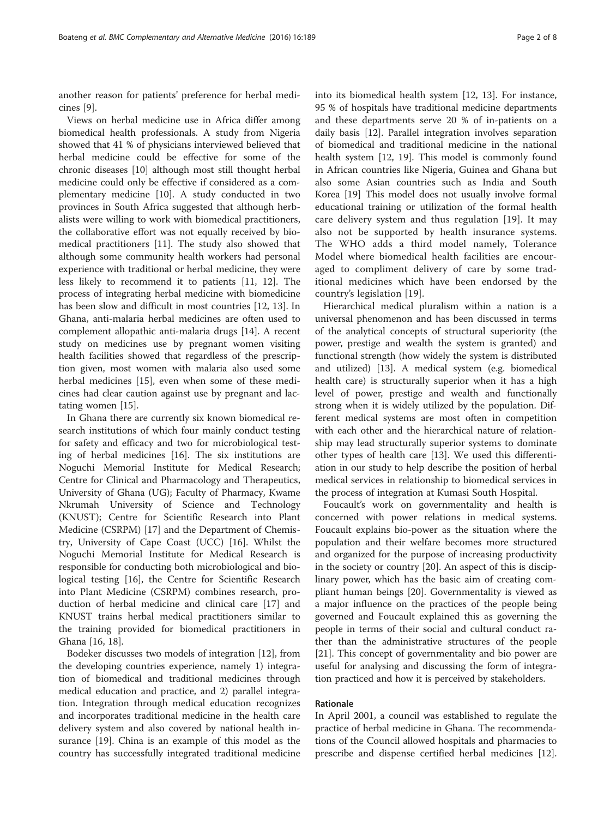another reason for patients' preference for herbal medicines [[9](#page-7-0)].

Views on herbal medicine use in Africa differ among biomedical health professionals. A study from Nigeria showed that 41 % of physicians interviewed believed that herbal medicine could be effective for some of the chronic diseases [[10](#page-7-0)] although most still thought herbal medicine could only be effective if considered as a complementary medicine [[10](#page-7-0)]. A study conducted in two provinces in South Africa suggested that although herbalists were willing to work with biomedical practitioners, the collaborative effort was not equally received by biomedical practitioners [\[11\]](#page-7-0). The study also showed that although some community health workers had personal experience with traditional or herbal medicine, they were less likely to recommend it to patients [11, 12]. The process of integrating herbal medicine with biomedicine has been slow and difficult in most countries [[12](#page-7-0), [13](#page-7-0)]. In Ghana, anti-malaria herbal medicines are often used to complement allopathic anti-malaria drugs [\[14\]](#page-7-0). A recent study on medicines use by pregnant women visiting health facilities showed that regardless of the prescription given, most women with malaria also used some herbal medicines [[15\]](#page-7-0), even when some of these medicines had clear caution against use by pregnant and lactating women [\[15\]](#page-7-0).

In Ghana there are currently six known biomedical research institutions of which four mainly conduct testing for safety and efficacy and two for microbiological testing of herbal medicines [\[16](#page-7-0)]. The six institutions are Noguchi Memorial Institute for Medical Research; Centre for Clinical and Pharmacology and Therapeutics, University of Ghana (UG); Faculty of Pharmacy, Kwame Nkrumah University of Science and Technology (KNUST); Centre for Scientific Research into Plant Medicine (CSRPM) [[17](#page-7-0)] and the Department of Chemistry, University of Cape Coast (UCC) [[16\]](#page-7-0). Whilst the Noguchi Memorial Institute for Medical Research is responsible for conducting both microbiological and biological testing [[16](#page-7-0)], the Centre for Scientific Research into Plant Medicine (CSRPM) combines research, production of herbal medicine and clinical care [[17](#page-7-0)] and KNUST trains herbal medical practitioners similar to the training provided for biomedical practitioners in Ghana [[16](#page-7-0), [18](#page-7-0)].

Bodeker discusses two models of integration [[12](#page-7-0)], from the developing countries experience, namely 1) integration of biomedical and traditional medicines through medical education and practice, and 2) parallel integration. Integration through medical education recognizes and incorporates traditional medicine in the health care delivery system and also covered by national health insurance [\[19](#page-7-0)]. China is an example of this model as the country has successfully integrated traditional medicine into its biomedical health system [\[12](#page-7-0), [13\]](#page-7-0). For instance, 95 % of hospitals have traditional medicine departments and these departments serve 20 % of in-patients on a daily basis [[12\]](#page-7-0). Parallel integration involves separation of biomedical and traditional medicine in the national health system [\[12, 19](#page-7-0)]. This model is commonly found in African countries like Nigeria, Guinea and Ghana but also some Asian countries such as India and South Korea [\[19](#page-7-0)] This model does not usually involve formal educational training or utilization of the formal health care delivery system and thus regulation [[19](#page-7-0)]. It may also not be supported by health insurance systems. The WHO adds a third model namely, Tolerance Model where biomedical health facilities are encouraged to compliment delivery of care by some traditional medicines which have been endorsed by the country's legislation [[19\]](#page-7-0).

Hierarchical medical pluralism within a nation is a universal phenomenon and has been discussed in terms of the analytical concepts of structural superiority (the power, prestige and wealth the system is granted) and functional strength (how widely the system is distributed and utilized) [[13](#page-7-0)]. A medical system (e.g. biomedical health care) is structurally superior when it has a high level of power, prestige and wealth and functionally strong when it is widely utilized by the population. Different medical systems are most often in competition with each other and the hierarchical nature of relationship may lead structurally superior systems to dominate other types of health care [[13\]](#page-7-0). We used this differentiation in our study to help describe the position of herbal medical services in relationship to biomedical services in the process of integration at Kumasi South Hospital.

Foucault's work on governmentality and health is concerned with power relations in medical systems. Foucault explains bio-power as the situation where the population and their welfare becomes more structured and organized for the purpose of increasing productivity in the society or country [\[20](#page-7-0)]. An aspect of this is disciplinary power, which has the basic aim of creating compliant human beings [\[20](#page-7-0)]. Governmentality is viewed as a major influence on the practices of the people being governed and Foucault explained this as governing the people in terms of their social and cultural conduct rather than the administrative structures of the people [[21\]](#page-7-0). This concept of governmentality and bio power are useful for analysing and discussing the form of integration practiced and how it is perceived by stakeholders.

### Rationale

In April 2001, a council was established to regulate the practice of herbal medicine in Ghana. The recommendations of the Council allowed hospitals and pharmacies to prescribe and dispense certified herbal medicines [\[12](#page-7-0)].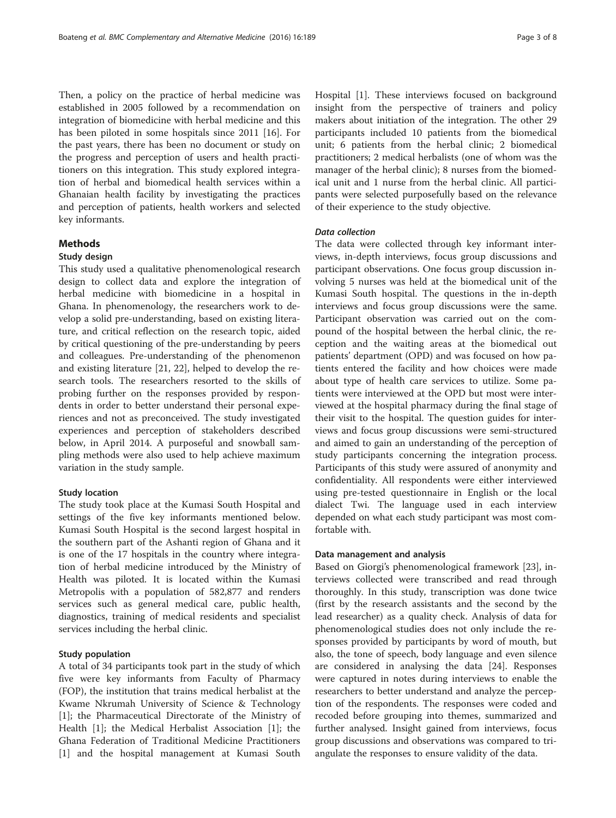Then, a policy on the practice of herbal medicine was established in 2005 followed by a recommendation on integration of biomedicine with herbal medicine and this has been piloted in some hospitals since 2011 [[16](#page-7-0)]. For the past years, there has been no document or study on the progress and perception of users and health practitioners on this integration. This study explored integration of herbal and biomedical health services within a Ghanaian health facility by investigating the practices and perception of patients, health workers and selected key informants.

#### Methods

#### Study design

This study used a qualitative phenomenological research design to collect data and explore the integration of herbal medicine with biomedicine in a hospital in Ghana. In phenomenology, the researchers work to develop a solid pre-understanding, based on existing literature, and critical reflection on the research topic, aided by critical questioning of the pre-understanding by peers and colleagues. Pre-understanding of the phenomenon and existing literature [\[21, 22\]](#page-7-0), helped to develop the research tools. The researchers resorted to the skills of probing further on the responses provided by respondents in order to better understand their personal experiences and not as preconceived. The study investigated experiences and perception of stakeholders described below, in April 2014. A purposeful and snowball sampling methods were also used to help achieve maximum variation in the study sample.

#### Study location

The study took place at the Kumasi South Hospital and settings of the five key informants mentioned below. Kumasi South Hospital is the second largest hospital in the southern part of the Ashanti region of Ghana and it is one of the 17 hospitals in the country where integration of herbal medicine introduced by the Ministry of Health was piloted. It is located within the Kumasi Metropolis with a population of 582,877 and renders services such as general medical care, public health, diagnostics, training of medical residents and specialist services including the herbal clinic.

#### Study population

A total of 34 participants took part in the study of which five were key informants from Faculty of Pharmacy (FOP), the institution that trains medical herbalist at the Kwame Nkrumah University of Science & Technology [[1\]](#page-7-0); the Pharmaceutical Directorate of the Ministry of Health [[1](#page-7-0)]; the Medical Herbalist Association [\[1](#page-7-0)]; the Ghana Federation of Traditional Medicine Practitioners [[1\]](#page-7-0) and the hospital management at Kumasi South Hospital [\[1](#page-7-0)]. These interviews focused on background insight from the perspective of trainers and policy makers about initiation of the integration. The other 29 participants included 10 patients from the biomedical unit; 6 patients from the herbal clinic; 2 biomedical practitioners; 2 medical herbalists (one of whom was the manager of the herbal clinic); 8 nurses from the biomedical unit and 1 nurse from the herbal clinic. All participants were selected purposefully based on the relevance of their experience to the study objective.

#### Data collection

The data were collected through key informant interviews, in-depth interviews, focus group discussions and participant observations. One focus group discussion involving 5 nurses was held at the biomedical unit of the Kumasi South hospital. The questions in the in-depth interviews and focus group discussions were the same. Participant observation was carried out on the compound of the hospital between the herbal clinic, the reception and the waiting areas at the biomedical out patients' department (OPD) and was focused on how patients entered the facility and how choices were made about type of health care services to utilize. Some patients were interviewed at the OPD but most were interviewed at the hospital pharmacy during the final stage of their visit to the hospital. The question guides for interviews and focus group discussions were semi-structured and aimed to gain an understanding of the perception of study participants concerning the integration process. Participants of this study were assured of anonymity and confidentiality. All respondents were either interviewed using pre-tested questionnaire in English or the local dialect Twi. The language used in each interview depended on what each study participant was most comfortable with.

#### Data management and analysis

Based on Giorgi's phenomenological framework [[23](#page-7-0)], interviews collected were transcribed and read through thoroughly. In this study, transcription was done twice (first by the research assistants and the second by the lead researcher) as a quality check. Analysis of data for phenomenological studies does not only include the responses provided by participants by word of mouth, but also, the tone of speech, body language and even silence are considered in analysing the data [[24](#page-7-0)]. Responses were captured in notes during interviews to enable the researchers to better understand and analyze the perception of the respondents. The responses were coded and recoded before grouping into themes, summarized and further analysed. Insight gained from interviews, focus group discussions and observations was compared to triangulate the responses to ensure validity of the data.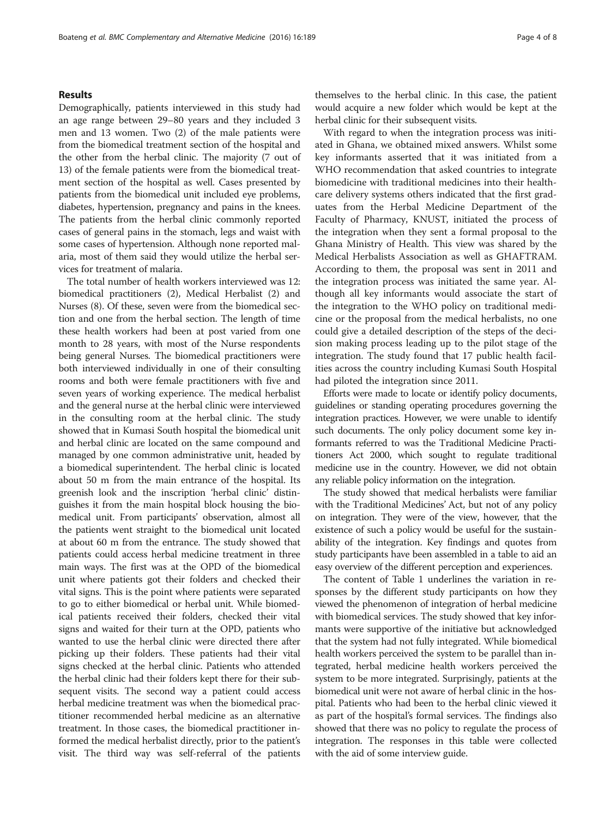#### Results

Demographically, patients interviewed in this study had an age range between 29–80 years and they included 3 men and 13 women. Two (2) of the male patients were from the biomedical treatment section of the hospital and the other from the herbal clinic. The majority (7 out of 13) of the female patients were from the biomedical treatment section of the hospital as well. Cases presented by patients from the biomedical unit included eye problems, diabetes, hypertension, pregnancy and pains in the knees. The patients from the herbal clinic commonly reported cases of general pains in the stomach, legs and waist with some cases of hypertension. Although none reported malaria, most of them said they would utilize the herbal services for treatment of malaria.

The total number of health workers interviewed was 12: biomedical practitioners (2), Medical Herbalist (2) and Nurses (8). Of these, seven were from the biomedical section and one from the herbal section. The length of time these health workers had been at post varied from one month to 28 years, with most of the Nurse respondents being general Nurses. The biomedical practitioners were both interviewed individually in one of their consulting rooms and both were female practitioners with five and seven years of working experience. The medical herbalist and the general nurse at the herbal clinic were interviewed in the consulting room at the herbal clinic. The study showed that in Kumasi South hospital the biomedical unit and herbal clinic are located on the same compound and managed by one common administrative unit, headed by a biomedical superintendent. The herbal clinic is located about 50 m from the main entrance of the hospital. Its greenish look and the inscription 'herbal clinic' distinguishes it from the main hospital block housing the biomedical unit. From participants' observation, almost all the patients went straight to the biomedical unit located at about 60 m from the entrance. The study showed that patients could access herbal medicine treatment in three main ways. The first was at the OPD of the biomedical unit where patients got their folders and checked their vital signs. This is the point where patients were separated to go to either biomedical or herbal unit. While biomedical patients received their folders, checked their vital signs and waited for their turn at the OPD, patients who wanted to use the herbal clinic were directed there after picking up their folders. These patients had their vital signs checked at the herbal clinic. Patients who attended the herbal clinic had their folders kept there for their subsequent visits. The second way a patient could access herbal medicine treatment was when the biomedical practitioner recommended herbal medicine as an alternative treatment. In those cases, the biomedical practitioner informed the medical herbalist directly, prior to the patient's visit. The third way was self-referral of the patients

themselves to the herbal clinic. In this case, the patient would acquire a new folder which would be kept at the herbal clinic for their subsequent visits.

With regard to when the integration process was initiated in Ghana, we obtained mixed answers. Whilst some key informants asserted that it was initiated from a WHO recommendation that asked countries to integrate biomedicine with traditional medicines into their healthcare delivery systems others indicated that the first graduates from the Herbal Medicine Department of the Faculty of Pharmacy, KNUST, initiated the process of the integration when they sent a formal proposal to the Ghana Ministry of Health. This view was shared by the Medical Herbalists Association as well as GHAFTRAM. According to them, the proposal was sent in 2011 and the integration process was initiated the same year. Although all key informants would associate the start of the integration to the WHO policy on traditional medicine or the proposal from the medical herbalists, no one could give a detailed description of the steps of the decision making process leading up to the pilot stage of the integration. The study found that 17 public health facilities across the country including Kumasi South Hospital had piloted the integration since 2011.

Efforts were made to locate or identify policy documents, guidelines or standing operating procedures governing the integration practices. However, we were unable to identify such documents. The only policy document some key informants referred to was the Traditional Medicine Practitioners Act 2000, which sought to regulate traditional medicine use in the country. However, we did not obtain any reliable policy information on the integration.

The study showed that medical herbalists were familiar with the Traditional Medicines' Act, but not of any policy on integration. They were of the view, however, that the existence of such a policy would be useful for the sustainability of the integration. Key findings and quotes from study participants have been assembled in a table to aid an easy overview of the different perception and experiences.

The content of Table [1](#page-4-0) underlines the variation in responses by the different study participants on how they viewed the phenomenon of integration of herbal medicine with biomedical services. The study showed that key informants were supportive of the initiative but acknowledged that the system had not fully integrated. While biomedical health workers perceived the system to be parallel than integrated, herbal medicine health workers perceived the system to be more integrated. Surprisingly, patients at the biomedical unit were not aware of herbal clinic in the hospital. Patients who had been to the herbal clinic viewed it as part of the hospital's formal services. The findings also showed that there was no policy to regulate the process of integration. The responses in this table were collected with the aid of some interview guide.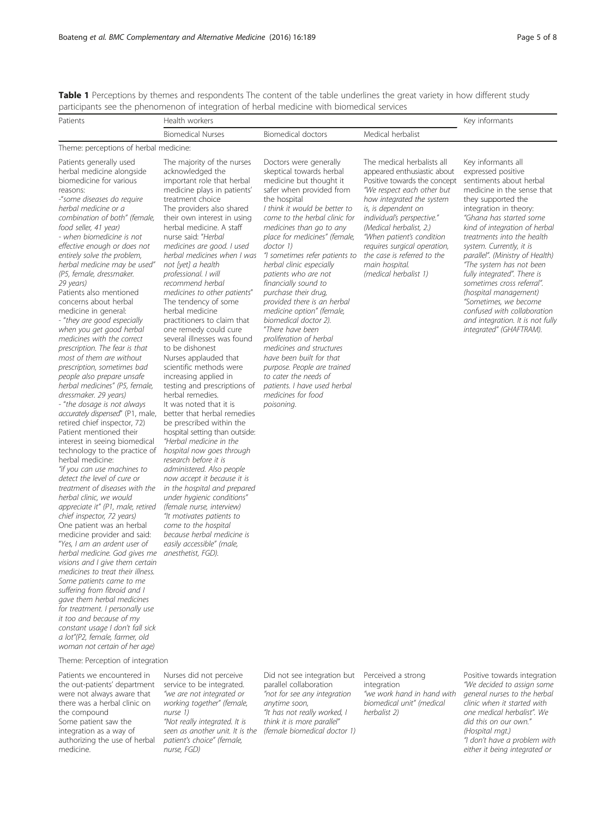<span id="page-4-0"></span>

| Table 1 Perceptions by themes and respondents The content of the table underlines the great variety in how different study |  |
|----------------------------------------------------------------------------------------------------------------------------|--|
| participants see the phenomenon of integration of herbal medicine with biomedical services                                 |  |

| Patients                                                                                                                                                                                                                                                                                                                                                                                                                                                                                                                                                                                                                                                                                                                                                                                                                                                                                                                                                                                                                                                                                                                                                                                                                                                                                                                                                                                                                                                                                                                                                                                                                                                               | Health workers                                                                                                                                                                                                                                                                                                                                                                                                                                                                                                                                                                                                                                                                                                                                                                                                                                                                                                                                                                                                                                                                                                                                                                                            | Key informants                                                                                                                                                                                                                                                                                                                                                                                                                                                                                                                                                                                                                                                                                                                      |                                                                                                                                                                                                                                                                                                                                                                             |                                                                                                                                                                                                                                                                                                                                                                                                                                                                                                                                                     |  |  |
|------------------------------------------------------------------------------------------------------------------------------------------------------------------------------------------------------------------------------------------------------------------------------------------------------------------------------------------------------------------------------------------------------------------------------------------------------------------------------------------------------------------------------------------------------------------------------------------------------------------------------------------------------------------------------------------------------------------------------------------------------------------------------------------------------------------------------------------------------------------------------------------------------------------------------------------------------------------------------------------------------------------------------------------------------------------------------------------------------------------------------------------------------------------------------------------------------------------------------------------------------------------------------------------------------------------------------------------------------------------------------------------------------------------------------------------------------------------------------------------------------------------------------------------------------------------------------------------------------------------------------------------------------------------------|-----------------------------------------------------------------------------------------------------------------------------------------------------------------------------------------------------------------------------------------------------------------------------------------------------------------------------------------------------------------------------------------------------------------------------------------------------------------------------------------------------------------------------------------------------------------------------------------------------------------------------------------------------------------------------------------------------------------------------------------------------------------------------------------------------------------------------------------------------------------------------------------------------------------------------------------------------------------------------------------------------------------------------------------------------------------------------------------------------------------------------------------------------------------------------------------------------------|-------------------------------------------------------------------------------------------------------------------------------------------------------------------------------------------------------------------------------------------------------------------------------------------------------------------------------------------------------------------------------------------------------------------------------------------------------------------------------------------------------------------------------------------------------------------------------------------------------------------------------------------------------------------------------------------------------------------------------------|-----------------------------------------------------------------------------------------------------------------------------------------------------------------------------------------------------------------------------------------------------------------------------------------------------------------------------------------------------------------------------|-----------------------------------------------------------------------------------------------------------------------------------------------------------------------------------------------------------------------------------------------------------------------------------------------------------------------------------------------------------------------------------------------------------------------------------------------------------------------------------------------------------------------------------------------------|--|--|
|                                                                                                                                                                                                                                                                                                                                                                                                                                                                                                                                                                                                                                                                                                                                                                                                                                                                                                                                                                                                                                                                                                                                                                                                                                                                                                                                                                                                                                                                                                                                                                                                                                                                        | <b>Biomedical Nurses</b>                                                                                                                                                                                                                                                                                                                                                                                                                                                                                                                                                                                                                                                                                                                                                                                                                                                                                                                                                                                                                                                                                                                                                                                  | Biomedical doctors                                                                                                                                                                                                                                                                                                                                                                                                                                                                                                                                                                                                                                                                                                                  | Medical herbalist                                                                                                                                                                                                                                                                                                                                                           |                                                                                                                                                                                                                                                                                                                                                                                                                                                                                                                                                     |  |  |
| Theme: perceptions of herbal medicine:                                                                                                                                                                                                                                                                                                                                                                                                                                                                                                                                                                                                                                                                                                                                                                                                                                                                                                                                                                                                                                                                                                                                                                                                                                                                                                                                                                                                                                                                                                                                                                                                                                 |                                                                                                                                                                                                                                                                                                                                                                                                                                                                                                                                                                                                                                                                                                                                                                                                                                                                                                                                                                                                                                                                                                                                                                                                           |                                                                                                                                                                                                                                                                                                                                                                                                                                                                                                                                                                                                                                                                                                                                     |                                                                                                                                                                                                                                                                                                                                                                             |                                                                                                                                                                                                                                                                                                                                                                                                                                                                                                                                                     |  |  |
| Patients generally used<br>herbal medicine alongside<br>biomedicine for various<br>reasons:<br>-"some diseases do require<br>herbal medicine or a<br>combination of both" (female,<br>food seller, 41 year)<br>- when biomedicine is not<br>effective enough or does not<br>entirely solve the problem,<br>herbal medicine may be used"<br>(P5, female, dressmaker.<br>29 years)<br>Patients also mentioned<br>concerns about herbal<br>medicine in general:<br>- "they are good especially<br>when you get good herbal<br>medicines with the correct<br>prescription. The fear is that<br>most of them are without<br>prescription, sometimes bad<br>people also prepare unsafe<br>herbal medicines" (P5, female,<br>dressmaker. 29 years)<br>- "the dosage is not always<br>accurately dispensed" (P1, male,<br>retired chief inspector, 72)<br>Patient mentioned their<br>interest in seeing biomedical<br>technology to the practice of<br>herbal medicine:<br>"if you can use machines to<br>detect the level of cure or<br>treatment of diseases with the<br>herbal clinic, we would<br>appreciate it" (P1, male, retired<br>chief inspector, 72 years)<br>One patient was an herbal<br>medicine provider and said:<br>"Yes, I am an ardent user of<br>herbal medicine. God gives me<br>visions and I give them certain<br>medicines to treat their illness.<br>Some patients came to me<br>suffering from fibroid and I<br>gave them herbal medicines<br>for treatment. I personally use<br>it too and because of my<br>constant usage I don't fall sick<br>a lot"(P2, female, farmer, old<br>woman not certain of her age)<br>Theme: Perception of integration | The majority of the nurses<br>acknowledged the<br>important role that herbal<br>medicine plays in patients'<br>treatment choice<br>The providers also shared<br>their own interest in using<br>herbal medicine. A staff<br>nurse said: "Herbal<br>medicines are good. I used<br>herbal medicines when I was<br>not [yet] a health<br>professional. I will<br>recommend herbal<br>medicines to other patients"<br>The tendency of some<br>herbal medicine<br>practitioners to claim that<br>one remedy could cure<br>several illnesses was found<br>to be dishonest<br>Nurses applauded that<br>scientific methods were<br>increasing applied in<br>testing and prescriptions of<br>herbal remedies.<br>It was noted that it is<br>better that herbal remedies<br>be prescribed within the<br>hospital setting than outside:<br>"Herbal medicine in the<br>hospital now goes through<br>research before it is<br>administered. Also people<br>now accept it because it is<br>in the hospital and prepared<br>under hygienic conditions"<br>(female nurse, interview)<br>"It motivates patients to<br>come to the hospital<br>because herbal medicine is<br>easily accessible" (male,<br>anesthetist, FGD). | Doctors were generally<br>skeptical towards herbal<br>medicine but thought it<br>safer when provided from<br>the hospital<br>I think it would be better to<br>come to the herbal clinic for<br>medicines than go to any<br>place for medicines" (female,<br>doctor 1)<br>"I sometimes refer patients to<br>herbal clinic especially<br>patients who are not<br>financially sound to<br>purchase their drug,<br>provided there is an herbal<br>medicine option" (female,<br>biomedical doctor 2).<br>"There have been<br>proliferation of herbal<br>medicines and structures<br>have been built for that<br>purpose. People are trained<br>to cater the needs of<br>patients. I have used herbal<br>medicines for food<br>poisoning. | The medical herbalists all<br>appeared enthusiastic about<br>Positive towards the concept<br>"We respect each other but<br>how integrated the system<br>is, is dependent on<br>individual's perspective."<br>(Medical herbalist, 2.)<br>"When patient's condition<br>requires surgical operation,<br>the case is referred to the<br>main hospital.<br>(medical herbalist 1) | Key informants all<br>expressed positive<br>sentiments about herbal<br>medicine in the sense that<br>they supported the<br>integration in theory:<br>"Ghana has started some<br>kind of integration of herbal<br>treatments into the health<br>system. Currently, it is<br>parallel". (Ministry of Health)<br>"The system has not been<br>fully integrated". There is<br>sometimes cross referral".<br>(hospital management)<br>"Sometimes, we become<br>confused with collaboration<br>and integration. It is not fully<br>integrated" (GHAFTRAM). |  |  |
| Patients we encountered in                                                                                                                                                                                                                                                                                                                                                                                                                                                                                                                                                                                                                                                                                                                                                                                                                                                                                                                                                                                                                                                                                                                                                                                                                                                                                                                                                                                                                                                                                                                                                                                                                                             | Nurses did not perceive                                                                                                                                                                                                                                                                                                                                                                                                                                                                                                                                                                                                                                                                                                                                                                                                                                                                                                                                                                                                                                                                                                                                                                                   | Did not see integration but                                                                                                                                                                                                                                                                                                                                                                                                                                                                                                                                                                                                                                                                                                         | Perceived a strong                                                                                                                                                                                                                                                                                                                                                          | Positive towards integration                                                                                                                                                                                                                                                                                                                                                                                                                                                                                                                        |  |  |
| the out-patients' department<br>were not always aware that<br>there was a herbal clinic on<br>the compound<br>Some patient saw the<br>integration as a way of                                                                                                                                                                                                                                                                                                                                                                                                                                                                                                                                                                                                                                                                                                                                                                                                                                                                                                                                                                                                                                                                                                                                                                                                                                                                                                                                                                                                                                                                                                          | service to be integrated.<br>"we are not integrated or<br>working together" (female,<br>nurse 1)<br>"Not really integrated. It is<br>seen as another unit. It is the                                                                                                                                                                                                                                                                                                                                                                                                                                                                                                                                                                                                                                                                                                                                                                                                                                                                                                                                                                                                                                      | parallel collaboration<br>"not for see any integration<br>anytime soon,<br>"It has not really worked, I<br>think it is more parallel"<br>(female biomedical doctor 1)                                                                                                                                                                                                                                                                                                                                                                                                                                                                                                                                                               | integration<br>"we work hand in hand with<br>biomedical unit" (medical<br>herbalist 2)                                                                                                                                                                                                                                                                                      | "We decided to assign some<br>general nurses to the herbal<br>clinic when it started with<br>one medical herbalist". We<br>did this on our own."<br>(Hospital mgt.)                                                                                                                                                                                                                                                                                                                                                                                 |  |  |

authorizing the use of herbal patient's choice" (female, nurse, FGD)

medicine.

(Hospital mgt.) "I don't have a problem with either it being integrated or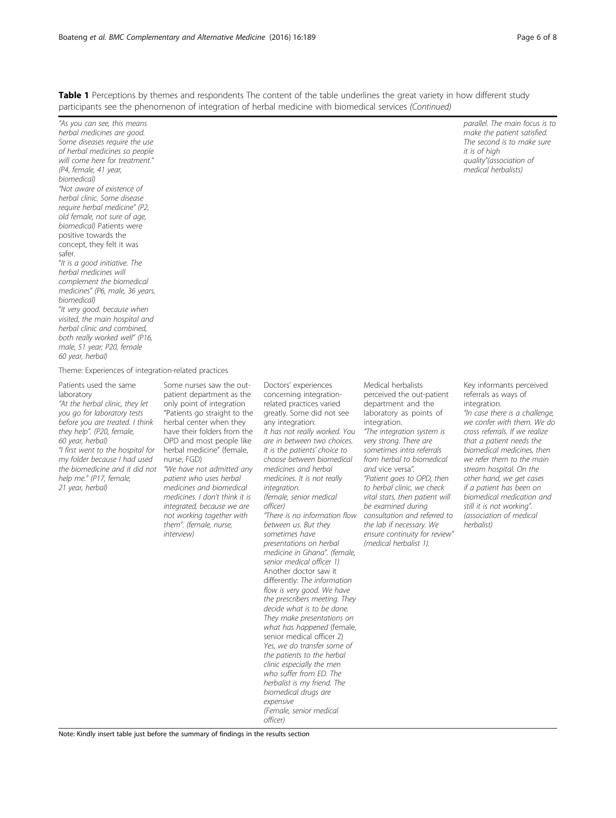Table 1 Perceptions by themes and respondents The content of the table underlines the great variety in how different study participants see the phenomenon of integration of herbal medicine with biomedical services (Continued)

"As you can see, this means herbal medicines are good. Some diseases require the use of herbal medicines so people will come here for treatment." (P4, female, 41 year, biomedical) "Not aware of existence of herbal clinic. Some disease require herbal medicine" (P2, old female, not sure of age, biomedical) Patients were positive towards the concept, they felt it was safer. "It is a good initiative. The herbal medicines will complement the biomedical medicines" (P6, male, 36 years, biomedical) "It very good. because when visited, the main hospital and herbal clinic and combined, both really worked well" (P16, male, 51 year; P20, female 60 year, herbal)

Theme: Experiences of integration-related practices

Patients used the same laboratory "At the herbal clinic, they let you go for laboratory tests before you are treated. I think they help". (P20, female, 60 year, herbal) "I first went to the hospital for my folder because I had used the biomedicine and it did not help me." (P17, female, 21 year, herbal)

Some nurses saw the outpatient department as the only point of integration "Patients go straight to the herbal center when they have their folders from the OPD and most people like herbal medicine" (female, nurse, FGD)

"We have not admitted any patient who uses herbal medicines and biomedical medicines. I don't think it is integrated, because we are not working together with them". (female, nurse, interview)

Doctors' experiences concerning integrationrelated practices varied greatly. Some did not see any integration: It has not really worked. You are in between two choices. It is the patients' choice to choose between biomedical medicines and herbal medicines. It is not really integration. (female, senior medical officer) "There is no information flow consultation and referred to between us. But they sometimes have presentations on herbal medicine in Ghana". (female, senior medical officer 1) Another doctor saw it differently: The information flow is very good. We have the prescribers meeting. They decide what is to be done. They make presentations on what has happened (female, senior medical officer 2) Yes, we do transfer some of the patients to the herbal clinic especially the men who suffer from ED. The herbalist is my friend. The biomedical drugs are expensive (Female, senior medical officer)

Medical herbalists perceived the out-patient department and the laboratory as points of integration. "The integration system is very strong. There are sometimes intra referrals from herbal to biomedical and vice versa". "Patient goes to OPD, then to herbal clinic, we check vital stats, then patient will be examined during the lab if necessary. We ensure continuity for review" (medical herbalist 1).

parallel. The main focus is to make the patient satisfied. The second is to make sure it is of high quality"(association of medical herbalists)

Key informants perceived referrals as ways of integration. "In case there is a challenge, we confer with them. We do cross referrals. If we realize that a patient needs the biomedical medicines, then we refer them to the main stream hospital. On the other hand, we get cases if a patient has been on biomedical medication and still it is not working". (association of medical herbalist)

Note: Kindly insert table just before the summary of findings in the results section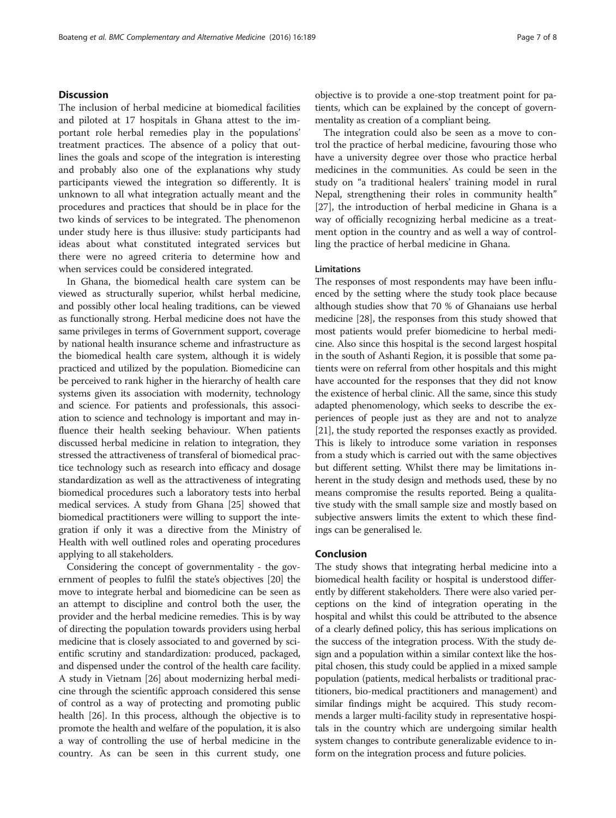#### **Discussion**

The inclusion of herbal medicine at biomedical facilities and piloted at 17 hospitals in Ghana attest to the important role herbal remedies play in the populations' treatment practices. The absence of a policy that outlines the goals and scope of the integration is interesting and probably also one of the explanations why study participants viewed the integration so differently. It is unknown to all what integration actually meant and the procedures and practices that should be in place for the two kinds of services to be integrated. The phenomenon under study here is thus illusive: study participants had ideas about what constituted integrated services but there were no agreed criteria to determine how and when services could be considered integrated.

In Ghana, the biomedical health care system can be viewed as structurally superior, whilst herbal medicine, and possibly other local healing traditions, can be viewed as functionally strong. Herbal medicine does not have the same privileges in terms of Government support, coverage by national health insurance scheme and infrastructure as the biomedical health care system, although it is widely practiced and utilized by the population. Biomedicine can be perceived to rank higher in the hierarchy of health care systems given its association with modernity, technology and science. For patients and professionals, this association to science and technology is important and may influence their health seeking behaviour. When patients discussed herbal medicine in relation to integration, they stressed the attractiveness of transferal of biomedical practice technology such as research into efficacy and dosage standardization as well as the attractiveness of integrating biomedical procedures such a laboratory tests into herbal medical services. A study from Ghana [\[25](#page-7-0)] showed that biomedical practitioners were willing to support the integration if only it was a directive from the Ministry of Health with well outlined roles and operating procedures applying to all stakeholders.

Considering the concept of governmentality - the government of peoples to fulfil the state's objectives [[20](#page-7-0)] the move to integrate herbal and biomedicine can be seen as an attempt to discipline and control both the user, the provider and the herbal medicine remedies. This is by way of directing the population towards providers using herbal medicine that is closely associated to and governed by scientific scrutiny and standardization: produced, packaged, and dispensed under the control of the health care facility. A study in Vietnam [\[26\]](#page-7-0) about modernizing herbal medicine through the scientific approach considered this sense of control as a way of protecting and promoting public health [[26](#page-7-0)]. In this process, although the objective is to promote the health and welfare of the population, it is also a way of controlling the use of herbal medicine in the country. As can be seen in this current study, one objective is to provide a one-stop treatment point for patients, which can be explained by the concept of governmentality as creation of a compliant being.

The integration could also be seen as a move to control the practice of herbal medicine, favouring those who have a university degree over those who practice herbal medicines in the communities. As could be seen in the study on "a traditional healers' training model in rural Nepal, strengthening their roles in community health" [[27\]](#page-7-0), the introduction of herbal medicine in Ghana is a way of officially recognizing herbal medicine as a treatment option in the country and as well a way of controlling the practice of herbal medicine in Ghana.

#### **Limitations**

The responses of most respondents may have been influenced by the setting where the study took place because although studies show that 70 % of Ghanaians use herbal medicine [[28](#page-7-0)], the responses from this study showed that most patients would prefer biomedicine to herbal medicine. Also since this hospital is the second largest hospital in the south of Ashanti Region, it is possible that some patients were on referral from other hospitals and this might have accounted for the responses that they did not know the existence of herbal clinic. All the same, since this study adapted phenomenology, which seeks to describe the experiences of people just as they are and not to analyze [[21](#page-7-0)], the study reported the responses exactly as provided. This is likely to introduce some variation in responses from a study which is carried out with the same objectives but different setting. Whilst there may be limitations inherent in the study design and methods used, these by no means compromise the results reported. Being a qualitative study with the small sample size and mostly based on subjective answers limits the extent to which these findings can be generalised le.

#### Conclusion

The study shows that integrating herbal medicine into a biomedical health facility or hospital is understood differently by different stakeholders. There were also varied perceptions on the kind of integration operating in the hospital and whilst this could be attributed to the absence of a clearly defined policy, this has serious implications on the success of the integration process. With the study design and a population within a similar context like the hospital chosen, this study could be applied in a mixed sample population (patients, medical herbalists or traditional practitioners, bio-medical practitioners and management) and similar findings might be acquired. This study recommends a larger multi-facility study in representative hospitals in the country which are undergoing similar health system changes to contribute generalizable evidence to inform on the integration process and future policies.